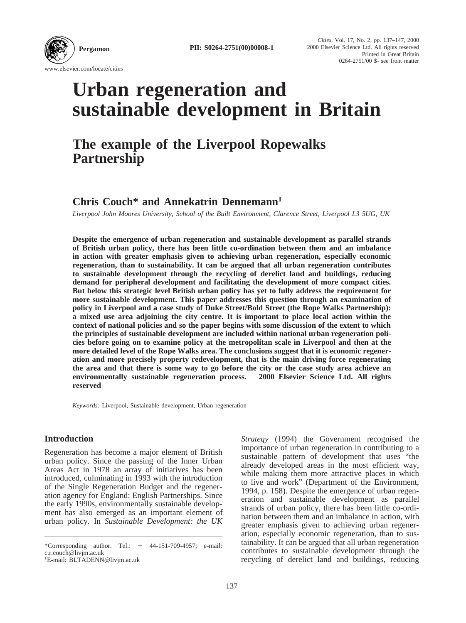



# **Urban regeneration and sustainable development in Britain**

## **The example of the Liverpool Ropewalks Partnership**

### **Chris Couch\* and Annekatrin Dennemann1**

*Liverpool John Moores University, School of the Built Environment, Clarence Street, Liverpool L3 5UG, UK*

**Despite the emergence of urban regeneration and sustainable development as parallel strands of British urban policy, there has been little co-ordination between them and an imbalance in action with greater emphasis given to achieving urban regeneration, especially economic regeneration, than to sustainability. It can be argued that all urban regeneration contributes to sustainable development through the recycling of derelict land and buildings, reducing demand for peripheral development and facilitating the development of more compact cities. But below this strategic level British urban policy has yet to fully address the requirement for more sustainable development. This paper addresses this question through an examination of policy in Liverpool and a case study of Duke Street/Bold Street (the Rope Walks Partnership): a mixed use area adjoining the city centre. It is important to place local action within the context of national policies and so the paper begins with some discussion of the extent to which the principles of sustainable development are included within national urban regeneration policies before going on to examine policy at the metropolitan scale in Liverpool and then at the more detailed level of the Rope Walks area. The conclusions suggest that it is economic regeneration and more precisely property redevelopment, that is the main driving force regenerating the area and that there is some way to go before the city or the case study area achieve an environmentally sustainable regeneration process. 2000 Elsevier Science Ltd. All rights reserved**

*Keywords:* Liverpool, Sustainable development, Urban regeneration

#### **Introduction**

Regeneration has become a major element of British urban policy. Since the passing of the Inner Urban Areas Act in 1978 an array of initiatives has been introduced, culminating in 1993 with the introduction of the Single Regeneration Budget and the regeneration agency for England: English Partnerships. Since the early 1990s, environmentally sustainable development has also emerged as an important element of urban policy. In *Sustainable Development: the UK*

*Strategy* (1994) the Government recognised the importance of urban regeneration in contributing to a sustainable pattern of development that uses "the already developed areas in the most efficient way, while making them more attractive places in which to live and work" (Department of the Environment, 1994, p. 158). Despite the emergence of urban regeneration and sustainable development as parallel strands of urban policy, there has been little co-ordination between them and an imbalance in action, with greater emphasis given to achieving urban regeneration, especially economic regeneration, than to sustainability. It can be argued that all urban regeneration contributes to sustainable development through the recycling of derelict land and buildings, reducing

<sup>\*</sup>Corresponding author. Tel.:  $+ 44-151-709-4957$ ; e-mail: c.r.couch@livjm.ac.uk 1 E-mail: BLTADENN@livjm.ac.uk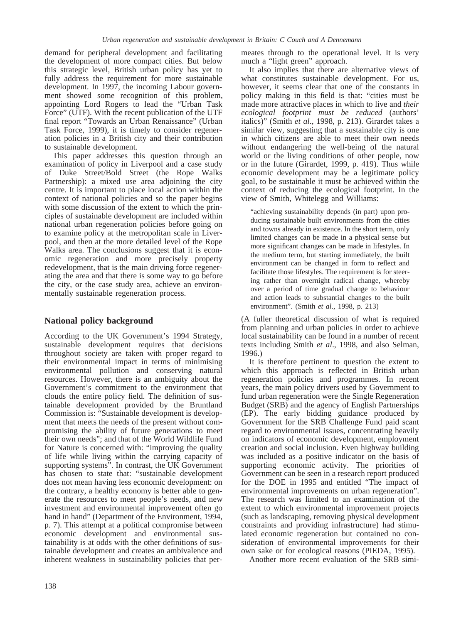demand for peripheral development and facilitating the development of more compact cities. But below this strategic level, British urban policy has yet to fully address the requirement for more sustainable development. In 1997, the incoming Labour government showed some recognition of this problem, appointing Lord Rogers to lead the "Urban Task Force" (UTF). With the recent publication of the UTF final report "Towards an Urban Renaissance" (Urban Task Force, 1999), it is timely to consider regeneration policies in a British city and their contribution to sustainable development.

This paper addresses this question through an examination of policy in Liverpool and a case study of Duke Street/Bold Street (the Rope Walks Partnership): a mixed use area adjoining the city centre. It is important to place local action within the context of national policies and so the paper begins with some discussion of the extent to which the principles of sustainable development are included within national urban regeneration policies before going on to examine policy at the metropolitan scale in Liverpool, and then at the more detailed level of the Rope Walks area. The conclusions suggest that it is economic regeneration and more precisely property redevelopment, that is the main driving force regenerating the area and that there is some way to go before the city, or the case study area, achieve an environmentally sustainable regeneration process.

#### **National policy background**

According to the UK Government's 1994 Strategy, sustainable development requires that decisions throughout society are taken with proper regard to their environmental impact in terms of minimising environmental pollution and conserving natural resources. However, there is an ambiguity about the Government's commitment to the environment that clouds the entire policy field. The definition of sustainable development provided by the Bruntland Commission is: "Sustainable development is development that meets the needs of the present without compromising the ability of future generations to meet their own needs"; and that of the World Wildlife Fund for Nature is concerned with: "improving the quality of life while living within the carrying capacity of supporting systems". In contrast, the UK Government has chosen to state that: "sustainable development does not mean having less economic development: on the contrary, a healthy economy is better able to generate the resources to meet people's needs, and new investment and environmental improvement often go hand in hand" (Department of the Environment, 1994, p. 7). This attempt at a political compromise between economic development and environmental sustainability is at odds with the other definitions of sustainable development and creates an ambivalence and inherent weakness in sustainability policies that permeates through to the operational level. It is very much a "light green" approach.

It also implies that there are alternative views of what constitutes sustainable development. For us, however, it seems clear that one of the constants in policy making in this field is that: "cities must be made more attractive places in which to live and *their ecological footprint must be reduced* (authors' italics)" (Smith *et al*., 1998, p. 213). Girardet takes a similar view, suggesting that a sustainable city is one in which citizens are able to meet their own needs without endangering the well-being of the natural world or the living conditions of other people, now or in the future (Girardet, 1999, p. 419). Thus while economic development may be a legitimate policy goal, to be sustainable it must be achieved within the context of reducing the ecological footprint. In the view of Smith, Whitelegg and Williams:

"achieving sustainability depends (in part) upon producing sustainable built environments from the cities and towns already in existence. In the short term, only limited changes can be made in a physical sense but more significant changes can be made in lifestyles. In the medium term, but starting immediately, the built environment can be changed in form to reflect and facilitate those lifestyles. The requirement is for steering rather than overnight radical change, whereby over a period of time gradual change to behaviour and action leads to substantial changes to the built environment". (Smith *et al*., 1998, p. 213)

(A fuller theoretical discussion of what is required from planning and urban policies in order to achieve local sustainability can be found in a number of recent texts including Smith *et al*., 1998, and also Selman, 1996.)

It is therefore pertinent to question the extent to which this approach is reflected in British urban regeneration policies and programmes. In recent years, the main policy drivers used by Government to fund urban regeneration were the Single Regeneration Budget (SRB) and the agency of English Partnerships (EP). The early bidding guidance produced by Government for the SRB Challenge Fund paid scant regard to environmental issues, concentrating heavily on indicators of economic development, employment creation and social inclusion. Even highway building was included as a positive indicator on the basis of supporting economic activity. The priorities of Government can be seen in a research report produced for the DOE in 1995 and entitled "The impact of environmental improvements on urban regeneration". The research was limited to an examination of the extent to which environmental improvement projects (such as landscaping, removing physical development constraints and providing infrastructure) had stimulated economic regeneration but contained no consideration of environmental improvements for their own sake or for ecological reasons (PIEDA, 1995).

Another more recent evaluation of the SRB simi-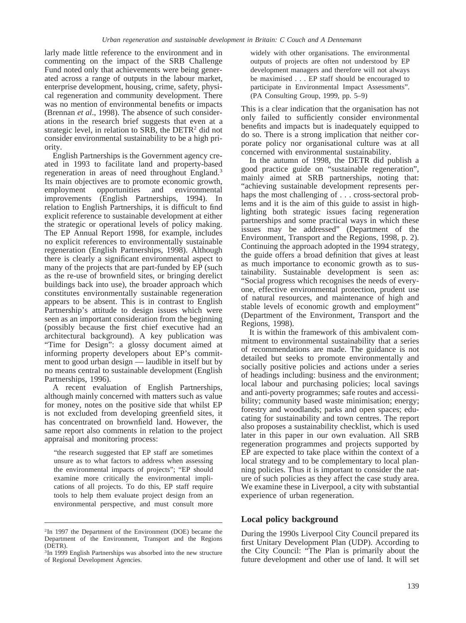larly made little reference to the environment and in commenting on the impact of the SRB Challenge Fund noted only that achievements were being generated across a range of outputs in the labour market, enterprise development, housing, crime, safety, physical regeneration and community development. There was no mention of environmental benefits or impacts (Brennan *et al*., 1998). The absence of such considerations in the research brief suggests that even at a strategic level, in relation to SRB, the DETR<sup>2</sup> did not consider environmental sustainability to be a high priority.

English Partnerships is the Government agency created in 1993 to facilitate land and property-based regeneration in areas of need throughout England.<sup>3</sup> Its main objectives are to promote economic growth, employment opportunities and environmental improvements (English Partnerships, 1994). In relation to English Partnerships, it is difficult to find explicit reference to sustainable development at either the strategic or operational levels of policy making. The EP Annual Report 1998, for example, includes no explicit references to environmentally sustainable regeneration (English Partnerships, 1998). Although there is clearly a significant environmental aspect to many of the projects that are part-funded by EP (such as the re-use of brownfield sites, or bringing derelict buildings back into use), the broader approach which constitutes environmentally sustainable regeneration appears to be absent. This is in contrast to English Partnership's attitude to design issues which were seen as an important consideration from the beginning (possibly because the first chief executive had an architectural background). A key publication was "Time for Design": a glossy document aimed at informing property developers about EP's commitment to good urban design — laudible in itself but by no means central to sustainable development (English Partnerships, 1996).

A recent evaluation of English Partnerships, although mainly concerned with matters such as value for money, notes on the positive side that whilst EP is not excluded from developing greenfield sites, it has concentrated on brownfield land. However, the same report also comments in relation to the project appraisal and monitoring process:

"the research suggested that EP staff are sometimes unsure as to what factors to address when assessing the environmental impacts of projects"; "EP should examine more critically the environmental implications of all projects. To do this, EP staff require tools to help them evaluate project design from an environmental perspective, and must consult more widely with other organisations. The environmental outputs of projects are often not understood by EP development managers and therefore will not always be maximised . . . EP staff should be encouraged to participate in Environmental Impact Assessments". (PA Consulting Group, 1999, pp. 5–9)

This is a clear indication that the organisation has not only failed to sufficiently consider environmental benefits and impacts but is inadequately equipped to do so. There is a strong implication that neither corporate policy nor organisational culture was at all concerned with environmental sustainability.

In the autumn of 1998, the DETR did publish a good practice guide on "sustainable regeneration", mainly aimed at SRB partnerships, noting that: "achieving sustainable development represents perhaps the most challenging of . . . cross-sectoral problems and it is the aim of this guide to assist in highlighting both strategic issues facing regeneration partnerships and some practical ways in which these issues may be addressed" (Department of the Environment, Transport and the Regions, 1998, p. 2). Continuing the approach adopted in the 1994 strategy, the guide offers a broad definition that gives at least as much importance to economic growth as to sustainability. Sustainable development is seen as: "Social progress which recognises the needs of everyone, effective environmental protection, prudent use of natural resources, and maintenance of high and stable levels of economic growth and employment" (Department of the Environment, Transport and the Regions, 1998).

It is within the framework of this ambivalent commitment to environmental sustainability that a series of recommendations are made. The guidance is not detailed but seeks to promote environmentally and socially positive policies and actions under a series of headings including: business and the environment; local labour and purchasing policies; local savings and anti-poverty programmes; safe routes and accessibility; community based waste minimisation; energy; forestry and woodlands; parks and open spaces; educating for sustainability and town centres. The report also proposes a sustainability checklist, which is used later in this paper in our own evaluation. All SRB regeneration programmes and projects supported by EP are expected to take place within the context of a local strategy and to be complementary to local planning policies. Thus it is important to consider the nature of such policies as they affect the case study area. We examine these in Liverpool, a city with substantial experience of urban regeneration.

#### **Local policy background**

During the 1990s Liverpool City Council prepared its first Unitary Development Plan (UDP). According to the City Council: "The Plan is primarily about the future development and other use of land. It will set

<sup>2</sup> In 1997 the Department of the Environment (DOE) became the Department of the Environment, Transport and the Regions (DETR).

<sup>&</sup>lt;sup>3</sup>In 1999 English Partnerships was absorbed into the new structure of Regional Development Agencies.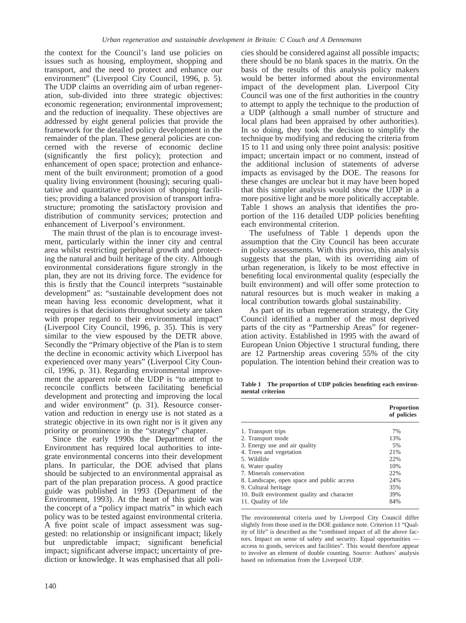the context for the Council's land use policies on issues such as housing, employment, shopping and transport, and the need to protect and enhance our environment" (Liverpool City Council, 1996, p. 5). The UDP claims an overriding aim of urban regeneration, sub-divided into three strategic objectives: economic regeneration; environmental improvement; and the reduction of inequality. These objectives are addressed by eight general policies that provide the framework for the detailed policy development in the remainder of the plan. These general policies are concerned with the reverse of economic decline (significantly the first policy); protection and enhancement of open space; protection and enhancement of the built environment; promotion of a good quality living environment (housing); securing qualitative and quantitative provision of shopping facilities; providing a balanced provision of transport infrastructure; promoting the satisfactory provision and distribution of community services; protection and enhancement of Liverpool's environment.

The main thrust of the plan is to encourage investment, particularly within the inner city and central area whilst restricting peripheral growth and protecting the natural and built heritage of the city. Although environmental considerations figure strongly in the plan, they are not its driving force. The evidence for this is firstly that the Council interprets "sustainable development" as: "sustainable development does not mean having less economic development, what it requires is that decisions throughout society are taken with proper regard to their environmental impact" (Liverpool City Council, 1996, p. 35). This is very similar to the view espoused by the DETR above. Secondly the "Primary objective of the Plan is to stem the decline in economic activity which Liverpool has experienced over many years" (Liverpool City Council, 1996, p. 31). Regarding environmental improvement the apparent role of the UDP is "to attempt to reconcile conflicts between facilitating beneficial development and protecting and improving the local and wider environment" (p. 31). Resource conservation and reduction in energy use is not stated as a strategic objective in its own right nor is it given any priority or prominence in the "strategy" chapter.

Since the early 1990s the Department of the Environment has required local authorities to integrate environmental concerns into their development plans. In particular, the DOE advised that plans should be subjected to an environmental appraisal as part of the plan preparation process. A good practice guide was published in 1993 (Department of the Environment, 1993). At the heart of this guide was the concept of a "policy impact matrix" in which each policy was to be tested against environmental criteria. A five point scale of impact assessment was suggested: no relationship or insignificant impact; likely but unpredictable impact; significant beneficial impact; significant adverse impact; uncertainty of prediction or knowledge. It was emphasised that all policies should be considered against all possible impacts; there should be no blank spaces in the matrix. On the basis of the results of this analysis policy makers would be better informed about the environmental impact of the development plan. Liverpool City Council was one of the first authorities in the country to attempt to apply the technique to the production of a UDP (although a small number of structure and local plans had been appraised by other authorities). In so doing, they took the decision to simplify the technique by modifying and reducing the criteria from 15 to 11 and using only three point analysis: positive impact; uncertain impact or no comment, instead of the additional inclusion of statements of adverse impacts as envisaged by the DOE. The reasons for these changes are unclear but it may have been hoped that this simpler analysis would show the UDP in a more positive light and be more politically acceptable. Table 1 shows an analysis that identifies the proportion of the 116 detailed UDP policies benefiting each environmental criterion.

The usefulness of Table 1 depends upon the assumption that the City Council has been accurate in policy assessments. With this proviso, this analysis suggests that the plan, with its overriding aim of urban regeneration, is likely to be most effective in benefiting local environmental quality (especially the built environment) and will offer some protection to natural resources but is much weaker in making a local contribution towards global sustainability.

As part of its urban regeneration strategy, the City Council identified a number of the most deprived parts of the city as "Partnership Areas" for regeneration activity. Established in 1995 with the award of European Union Objective 1 structural funding, there are 12 Partnership areas covering 55% of the city population. The intention behind their creation was to

**Table 1 The proportion of UDP policies benefiting each environmental criterion**

|                                             | <b>Proportion</b><br>of policies |  |
|---------------------------------------------|----------------------------------|--|
| 1. Transport trips                          | 7%                               |  |
| 2. Transport mode                           | 13%                              |  |
| 3. Energy use and air quality               | 5%                               |  |
| 4. Trees and vegetation                     | 21%                              |  |
| 5. Wildlife                                 | 22%                              |  |
| 6. Water quality                            | 10%                              |  |
| 7. Minerals conservation                    | 22%                              |  |
| 8. Landscape, open space and public access  | 24%                              |  |
| 9. Cultural heritage                        | 35%                              |  |
| 10. Built environment quality and character | 39%                              |  |
| 11. Quality of life                         | 84%                              |  |

The environmental criteria used by Liverpool City Council differ slightly from those used in the DOE guidance note. Criterion 11 "Quality of life" is described as the "combined impact of all the above factors. Impact on sense of safety and security. Equal opportunities access to goods, services and facilities". This would therefore appear to involve an element of double counting. Source: Authors' analysis based on information from the Liverpool UDP.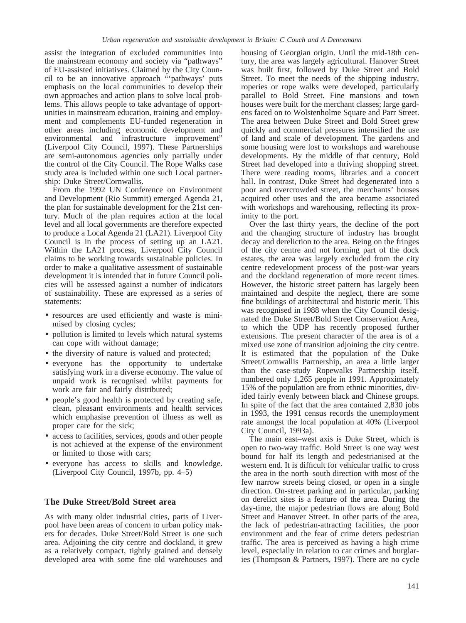assist the integration of excluded communities into the mainstream economy and society via "pathways" of EU-assisted initiatives. Claimed by the City Council to be an innovative approach "'pathways' puts emphasis on the local communities to develop their own approaches and action plans to solve local problems. This allows people to take advantage of opportunities in mainstream education, training and employment and complements EU-funded regeneration in other areas including economic development and environmental and infrastructure improvement" (Liverpool City Council, 1997). These Partnerships are semi-autonomous agencies only partially under the control of the City Council. The Rope Walks case study area is included within one such Local partnership: Duke Street/Cornwallis.

From the 1992 UN Conference on Environment and Development (Rio Summit) emerged Agenda 21, the plan for sustainable development for the 21st century. Much of the plan requires action at the local level and all local governments are therefore expected to produce a Local Agenda 21 (LA21). Liverpool City Council is in the process of setting up an LA21. Within the LA21 process, Liverpool City Council claims to be working towards sustainable policies. In order to make a qualitative assessment of sustainable development it is intended that in future Council policies will be assessed against a number of indicators of sustainability. These are expressed as a series of statements:

- resources are used efficiently and waste is minimised by closing cycles;
- pollution is limited to levels which natural systems can cope with without damage;
- the diversity of nature is valued and protected;
- everyone has the opportunity to undertake satisfying work in a diverse economy. The value of unpaid work is recognised whilst payments for work are fair and fairly distributed;
- people's good health is protected by creating safe, clean, pleasant environments and health services which emphasise prevention of illness as well as proper care for the sick;
- access to facilities, services, goods and other people is not achieved at the expense of the environment or limited to those with cars;
- everyone has access to skills and knowledge. (Liverpool City Council, 1997b, pp. 4–5)

#### **The Duke Street/Bold Street area**

As with many older industrial cities, parts of Liverpool have been areas of concern to urban policy makers for decades. Duke Street/Bold Street is one such area. Adjoining the city centre and dockland, it grew as a relatively compact, tightly grained and densely developed area with some fine old warehouses and housing of Georgian origin. Until the mid-18th century, the area was largely agricultural. Hanover Street was built first, followed by Duke Street and Bold Street. To meet the needs of the shipping industry, roperies or rope walks were developed, particularly parallel to Bold Street. Fine mansions and town houses were built for the merchant classes; large gardens faced on to Wolstenholme Square and Parr Street. The area between Duke Street and Bold Street grew quickly and commercial pressures intensified the use of land and scale of development. The gardens and some housing were lost to workshops and warehouse developments. By the middle of that century, Bold Street had developed into a thriving shopping street. There were reading rooms, libraries and a concert hall. In contrast, Duke Street had degenerated into a poor and overcrowded street, the merchants' houses acquired other uses and the area became associated with workshops and warehousing, reflecting its proximity to the port.

Over the last thirty years, the decline of the port and the changing structure of industry has brought decay and dereliction to the area. Being on the fringes of the city centre and not forming part of the dock estates, the area was largely excluded from the city centre redevelopment process of the post-war years and the dockland regeneration of more recent times. However, the historic street pattern has largely been maintained and despite the neglect, there are some fine buildings of architectural and historic merit. This was recognised in 1988 when the City Council designated the Duke Street/Bold Street Conservation Area, to which the UDP has recently proposed further extensions. The present character of the area is of a mixed use zone of transition adjoining the city centre. It is estimated that the population of the Duke Street/Cornwallis Partnership, an area a little larger than the case-study Ropewalks Partnership itself, numbered only 1,265 people in 1991. Approximately 15% of the population are from ethnic minorities, divided fairly evenly between black and Chinese groups. In spite of the fact that the area contained 2,830 jobs in 1993, the 1991 census records the unemployment rate amongst the local population at 40% (Liverpool City Council, 1993a).

The main east–west axis is Duke Street, which is open to two-way traffic. Bold Street is one way west bound for half its length and pedestrianised at the western end. It is difficult for vehicular traffic to cross the area in the north–south direction with most of the few narrow streets being closed, or open in a single direction. On-street parking and in particular, parking on derelict sites is a feature of the area. During the day-time, the major pedestrian flows are along Bold Street and Hanover Street. In other parts of the area, the lack of pedestrian-attracting facilities, the poor environment and the fear of crime deters pedestrian traffic. The area is perceived as having a high crime level, especially in relation to car crimes and burglaries (Thompson & Partners, 1997). There are no cycle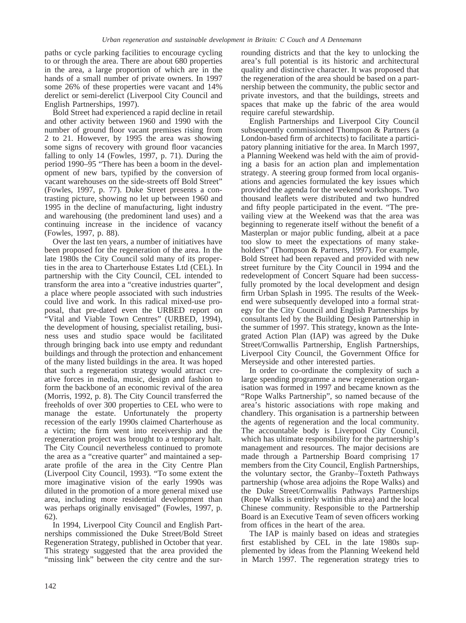paths or cycle parking facilities to encourage cycling to or through the area. There are about 680 properties in the area, a large proportion of which are in the hands of a small number of private owners. In 1997 some 26% of these properties were vacant and 14% derelict or semi-derelict (Liverpool City Council and English Partnerships, 1997).

Bold Street had experienced a rapid decline in retail and other activity between 1960 and 1990 with the number of ground floor vacant premises rising from 2 to 21. However, by 1995 the area was showing some signs of recovery with ground floor vacancies falling to only 14 (Fowles, 1997, p. 71). During the period 1990–95 "There has been a boom in the development of new bars, typified by the conversion of vacant warehouses on the side-streets off Bold Street" (Fowles, 1997, p. 77). Duke Street presents a contrasting picture, showing no let up between 1960 and 1995 in the decline of manufacturing, light industry and warehousing (the predominent land uses) and a continuing increase in the incidence of vacancy (Fowles, 1997, p. 88).

Over the last ten years, a number of initiatives have been proposed for the regeneration of the area. In the late 1980s the City Council sold many of its properties in the area to Charterhouse Estates Ltd (CEL). In partnership with the City Council, CEL intended to transform the area into a "creative industries quarter", a place where people associated with such industries could live and work. In this radical mixed-use proposal, that pre-dated even the URBED report on "Vital and Viable Town Centres" (URBED, 1994), the development of housing, specialist retailing, business uses and studio space would be facilitated through bringing back into use empty and redundant buildings and through the protection and enhancement of the many listed buildings in the area. It was hoped that such a regeneration strategy would attract creative forces in media, music, design and fashion to form the backbone of an economic revival of the area (Morris, 1992, p. 8). The City Council transferred the freeholds of over 300 properties to CEL who were to manage the estate. Unfortunately the property recession of the early 1990s claimed Charterhouse as a victim; the firm went into receivership and the regeneration project was brought to a temporary halt. The City Council nevertheless continued to promote the area as a "creative quarter" and maintained a separate profile of the area in the City Centre Plan (Liverpool City Council, 1993). "To some extent the more imaginative vision of the early 1990s was diluted in the promotion of a more general mixed use area, including more residential development than was perhaps originally envisaged" (Fowles, 1997, p. 62).

In 1994, Liverpool City Council and English Partnerships commissioned the Duke Street/Bold Street Regeneration Strategy, published in October that year. This strategy suggested that the area provided the "missing link" between the city centre and the surrounding districts and that the key to unlocking the area's full potential is its historic and architectural quality and distinctive character. It was proposed that the regeneration of the area should be based on a partnership between the community, the public sector and private investors, and that the buildings, streets and spaces that make up the fabric of the area would require careful stewardship.

English Partnerships and Liverpool City Council subsequently commissioned Thompson & Partners (a London-based firm of architects) to facilitate a participatory planning initiative for the area. In March 1997, a Planning Weekend was held with the aim of providing a basis for an action plan and implementation strategy. A steering group formed from local organisations and agencies formulated the key issues which provided the agenda for the weekend workshops. Two thousand leaflets were distributed and two hundred and fifty people participated in the event. "The prevailing view at the Weekend was that the area was beginning to regenerate itself without the benefit of a Masterplan or major public funding, albeit at a pace too slow to meet the expectations of many stakeholders" (Thompson & Partners, 1997). For example, Bold Street had been repaved and provided with new street furniture by the City Council in 1994 and the redevelopment of Concert Square had been successfully promoted by the local development and design firm Urban Splash in 1995. The results of the Weekend were subsequently developed into a formal strategy for the City Council and English Partnerships by consultants led by the Building Design Partnership in the summer of 1997. This strategy, known as the Integrated Action Plan (IAP) was agreed by the Duke Street/Cornwallis Partnership, English Partnerships, Liverpool City Council, the Government Office for Merseyside and other interested parties.

In order to co-ordinate the complexity of such a large spending programme a new regeneration organisation was formed in 1997 and became known as the "Rope Walks Partnership", so named because of the area's historic associations with rope making and chandlery. This organisation is a partnership between the agents of regeneration and the local community. The accountable body is Liverpool City Council, which has ultimate responsibility for the partnership's management and resources. The major decisions are made through a Partnership Board comprising 17 members from the City Council, English Partnerships, the voluntary sector, the Granby–Toxteth Pathways partnership (whose area adjoins the Rope Walks) and the Duke Street/Cornwallis Pathways Partnerships (Rope Walks is entirely within this area) and the local Chinese community. Responsible to the Partnership Board is an Executive Team of seven officers working from offices in the heart of the area.

The IAP is mainly based on ideas and strategies first established by CEL in the late 1980s supplemented by ideas from the Planning Weekend held in March 1997. The regeneration strategy tries to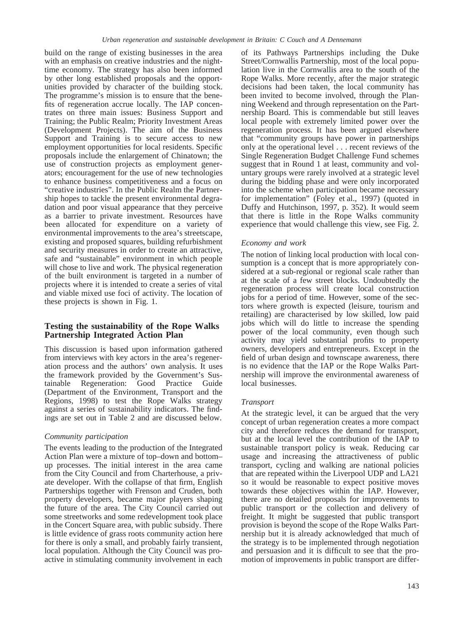build on the range of existing businesses in the area with an emphasis on creative industries and the nighttime economy. The strategy has also been informed by other long established proposals and the opportunities provided by character of the building stock. The programme's mission is to ensure that the benefits of regeneration accrue locally. The IAP concentrates on three main issues: Business Support and Training; the Public Realm; Priority Investment Areas (Development Projects). The aim of the Business Support and Training is to secure access to new employment opportunities for local residents. Specific proposals include the enlargement of Chinatown; the use of construction projects as employment generators; encouragement for the use of new technologies to enhance business competitiveness and a focus on "creative industries". In the Public Realm the Partnership hopes to tackle the present environmental degradation and poor visual appearance that they perceive as a barrier to private investment. Resources have been allocated for expenditure on a variety of environmental improvements to the area's streetscape, existing and proposed squares, building refurbishment and security measures in order to create an attractive, safe and "sustainable" environment in which people will chose to live and work. The physical regeneration of the built environment is targeted in a number of projects where it is intended to create a series of vital and viable mixed use foci of activity. The location of these projects is shown in Fig. 1.

#### **Testing the sustainability of the Rope Walks Partnership Integrated Action Plan**

This discussion is based upon information gathered from interviews with key actors in the area's regeneration process and the authors' own analysis. It uses the framework provided by the Government's Sustainable Regeneration: Good Practice Guide (Department of the Environment, Transport and the Regions, 1998) to test the Rope Walks strategy against a series of sustainability indicators. The findings are set out in Table 2 and are discussed below.

#### *Community participation*

The events leading to the production of the Integrated Action Plan were a mixture of top–down and bottom– up processes. The initial interest in the area came from the City Council and from Charterhouse, a private developer. With the collapse of that firm, English Partnerships together with Frenson and Cruden, both property developers, became major players shaping the future of the area. The City Council carried out some streetworks and some redevelopment took place in the Concert Square area, with public subsidy. There is little evidence of grass roots community action here for there is only a small, and probably fairly transient, local population. Although the City Council was proactive in stimulating community involvement in each of its Pathways Partnerships including the Duke Street/Cornwallis Partnership, most of the local population live in the Cornwallis area to the south of the Rope Walks. More recently, after the major strategic decisions had been taken, the local community has been invited to become involved, through the Planning Weekend and through representation on the Partnership Board. This is commendable but still leaves local people with extremely limited power over the regeneration process. It has been argued elsewhere that "community groups have power in partnerships only at the operational level . . . recent reviews of the Single Regeneration Budget Challenge Fund schemes suggest that in Round 1 at least, community and voluntary groups were rarely involved at a strategic level during the bidding phase and were only incorporated into the scheme when participation became necessary for implementation" (Foley et al., 1997) (quoted in Duffy and Hutchinson, 1997, p. 352). It would seem that there is little in the Rope Walks community experience that would challenge this view, see Fig. 2.

#### *Economy and work*

The notion of linking local production with local consumption is a concept that is more appropriately considered at a sub-regional or regional scale rather than at the scale of a few street blocks. Undoubtedly the regeneration process will create local construction jobs for a period of time. However, some of the sectors where growth is expected (leisure, tourism and retailing) are characterised by low skilled, low paid jobs which will do little to increase the spending power of the local community, even though such activity may yield substantial profits to property owners, developers and entrepreneurs. Except in the field of urban design and townscape awareness, there is no evidence that the IAP or the Rope Walks Partnership will improve the environmental awareness of local businesses.

#### *Transport*

At the strategic level, it can be argued that the very concept of urban regeneration creates a more compact city and therefore reduces the demand for transport, but at the local level the contribution of the IAP to sustainable transport policy is weak. Reducing car usage and increasing the attractiveness of public transport, cycling and walking are national policies that are repeated within the Liverpool UDP and LA21 so it would be reasonable to expect positive moves towards these objectives within the IAP. However, there are no detailed proposals for improvements to public transport or the collection and delivery of freight. It might be suggested that public transport provision is beyond the scope of the Rope Walks Partnership but it is already acknowledged that much of the strategy is to be implemented through negotiation and persuasion and it is difficult to see that the promotion of improvements in public transport are differ-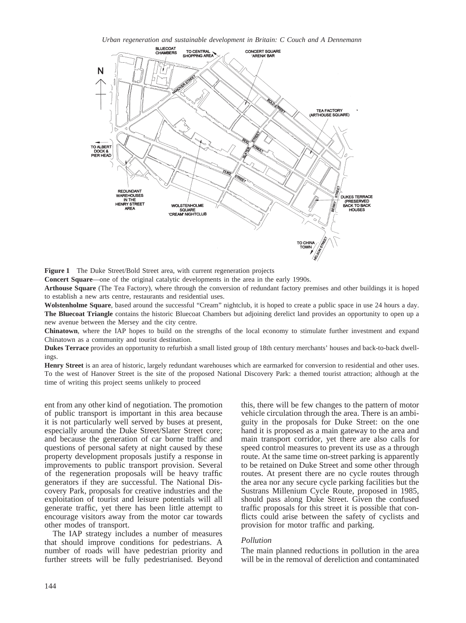

**Figure 1** The Duke Street/Bold Street area, with current regeneration projects

**Concert Square**—one of the original catalytic developments in the area in the early 1990s.

**Arthouse Square** (The Tea Factory), where through the conversion of redundant factory premises and other buildings it is hoped to establish a new arts centre, restaurants and residential uses.

**Wolstenholme Square**, based around the successful "Cream" nightclub, it is hoped to create a public space in use 24 hours a day. **The Bluecoat Triangle** contains the historic Bluecoat Chambers but adjoining derelict land provides an opportunity to open up a new avenue between the Mersey and the city centre.

**Chinatown**, where the IAP hopes to build on the strengths of the local economy to stimulate further investment and expand Chinatown as a community and tourist destination.

**Dukes Terrace** provides an opportunity to refurbish a small listed group of 18th century merchants' houses and back-to-back dwellings.

**Henry Street** is an area of historic, largely redundant warehouses which are earmarked for conversion to residential and other uses. To the west of Hanover Street is the site of the proposed National Discovery Park: a themed tourist attraction; although at the time of writing this project seems unlikely to proceed

ent from any other kind of negotiation. The promotion of public transport is important in this area because it is not particularly well served by buses at present, especially around the Duke Street/Slater Street core; and because the generation of car borne traffic and questions of personal safety at night caused by these property development proposals justify a response in improvements to public transport provision. Several of the regeneration proposals will be heavy traffic generators if they are successful. The National Discovery Park, proposals for creative industries and the exploitation of tourist and leisure potentials will all generate traffic, yet there has been little attempt to encourage visitors away from the motor car towards other modes of transport.

The IAP strategy includes a number of measures that should improve conditions for pedestrians. A number of roads will have pedestrian priority and further streets will be fully pedestrianised. Beyond this, there will be few changes to the pattern of motor vehicle circulation through the area. There is an ambiguity in the proposals for Duke Street: on the one hand it is proposed as a main gateway to the area and main transport corridor, yet there are also calls for speed control measures to prevent its use as a through route. At the same time on-street parking is apparently to be retained on Duke Street and some other through routes. At present there are no cycle routes through the area nor any secure cycle parking facilities but the Sustrans Millenium Cycle Route, proposed in 1985, should pass along Duke Street. Given the confused traffic proposals for this street it is possible that conflicts could arise between the safety of cyclists and provision for motor traffic and parking.

#### *Pollution*

The main planned reductions in pollution in the area will be in the removal of dereliction and contaminated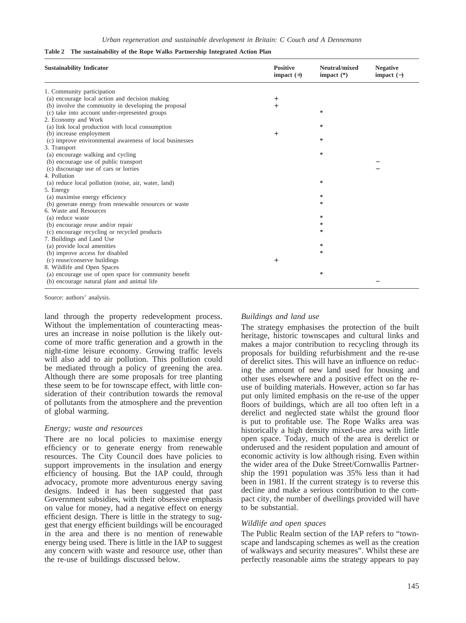**Table 2 The sustainability of the Rope Walks Partnership Integrated Action Plan**

| <b>Sustainability Indicator</b>                         | <b>Positive</b><br>impact $(+)$ | Neutral/mixed<br>impact $(*)$ | <b>Negative</b><br>impact $(-)$ |
|---------------------------------------------------------|---------------------------------|-------------------------------|---------------------------------|
| 1. Community participation                              |                                 |                               |                                 |
| (a) encourage local action and decision making          | ÷                               |                               |                                 |
| (b) involve the community in developing the proposal    | $\ddot{}$                       |                               |                                 |
| (c) take into account under-represented groups          |                                 | $\ast$                        |                                 |
| 2. Economy and Work                                     |                                 |                               |                                 |
| (a) link local production with local consumption        |                                 | $\approx$                     |                                 |
| (b) increase employment                                 | $\ddot{}$                       |                               |                                 |
| (c) improve environmental awareness of local businesses |                                 | $\ast$                        |                                 |
| 3. Transport                                            |                                 |                               |                                 |
| (a) encourage walking and cycling                       |                                 | $\ast$                        |                                 |
| (b) encourage use of public transport                   |                                 |                               |                                 |
| (c) discourage use of cars or lorries                   |                                 |                               |                                 |
| 4. Pollution                                            |                                 |                               |                                 |
| (a) reduce local pollution (noise, air, water, land)    |                                 | $\approx$                     |                                 |
| 5. Energy                                               |                                 |                               |                                 |
| (a) maximise energy efficiency                          |                                 | $\approx$                     |                                 |
| (b) generate energy from renewable resources or waste   |                                 | *                             |                                 |
| 6. Waste and Resources                                  |                                 |                               |                                 |
| (a) reduce waste                                        |                                 | $\ast$                        |                                 |
| (b) encourage reuse and/or repair                       |                                 | *                             |                                 |
| (c) encourage recycling or recycled products            |                                 | $\approx$                     |                                 |
| 7. Buildings and Land Use                               |                                 |                               |                                 |
| (a) provide local amenities                             |                                 | $\approx$                     |                                 |
| (b) improve access for disabled                         |                                 | $\approx$                     |                                 |
| (c) reuse/conserve buildings                            | $\ddot{}$                       |                               |                                 |
| 8. Wildlife and Open Spaces                             |                                 |                               |                                 |
| (a) encourage use of open space for community benefit   |                                 | $\approx$                     |                                 |
| (b) encourage natural plant and animal life             |                                 |                               |                                 |

Source: authors' analysis.

land through the property redevelopment process. Without the implementation of counteracting measures an increase in noise pollution is the likely outcome of more traffic generation and a growth in the night-time leisure economy. Growing traffic levels will also add to air pollution. This pollution could be mediated through a policy of greening the area. Although there are some proposals for tree planting these seem to be for townscape effect, with little consideration of their contribution towards the removal of pollutants from the atmosphere and the prevention of global warming.

#### *Energy; waste and resources*

There are no local policies to maximise energy efficiency or to generate energy from renewable resources. The City Council does have policies to support improvements in the insulation and energy efficiency of housing. But the IAP could, through advocacy, promote more adventurous energy saving designs. Indeed it has been suggested that past Government subsidies, with their obsessive emphasis on value for money, had a negative effect on energy efficient design. There is little in the strategy to suggest that energy efficient buildings will be encouraged in the area and there is no mention of renewable energy being used. There is little in the IAP to suggest any concern with waste and resource use, other than the re-use of buildings discussed below.

#### *Buildings and land use*

The strategy emphasises the protection of the built heritage, historic townscapes and cultural links and makes a major contribution to recycling through its proposals for building refurbishment and the re-use of derelict sites. This will have an influence on reducing the amount of new land used for housing and other uses elsewhere and a positive effect on the reuse of building materials. However, action so far has put only limited emphasis on the re-use of the upper floors of buildings, which are all too often left in a derelict and neglected state whilst the ground floor is put to profitable use. The Rope Walks area was historically a high density mixed-use area with little open space. Today, much of the area is derelict or underused and the resident population and amount of economic activity is low although rising. Even within the wider area of the Duke Street/Cornwallis Partnership the 1991 population was 35% less than it had been in 1981. If the current strategy is to reverse this decline and make a serious contribution to the compact city, the number of dwellings provided will have to be substantial.

#### *Wildlife and open spaces*

The Public Realm section of the IAP refers to "townscape and landscaping schemes as well as the creation of walkways and security measures". Whilst these are perfectly reasonable aims the strategy appears to pay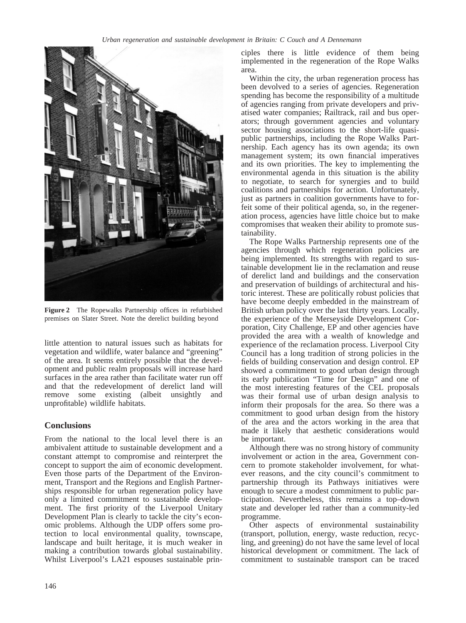

**Figure 2** The Ropewalks Partnership offices in refurbished premises on Slater Street. Note the derelict building beyond

little attention to natural issues such as habitats for vegetation and wildlife, water balance and "greening" of the area. It seems entirely possible that the development and public realm proposals will increase hard surfaces in the area rather than facilitate water run off and that the redevelopment of derelict land will remove some existing (albeit unsightly and unprofitable) wildlife habitats.

#### **Conclusions**

From the national to the local level there is an ambivalent attitude to sustainable development and a constant attempt to compromise and reinterpret the concept to support the aim of economic development. Even those parts of the Department of the Environment, Transport and the Regions and English Partnerships responsible for urban regeneration policy have only a limited commitment to sustainable development. The first priority of the Liverpool Unitary Development Plan is clearly to tackle the city's economic problems. Although the UDP offers some protection to local environmental quality, townscape, landscape and built heritage, it is much weaker in making a contribution towards global sustainability. Whilst Liverpool's LA21 espouses sustainable principles there is little evidence of them being implemented in the regeneration of the Rope Walks area.

Within the city, the urban regeneration process has been devolved to a series of agencies. Regeneration spending has become the responsibility of a multitude of agencies ranging from private developers and privatised water companies; Railtrack, rail and bus operators; through government agencies and voluntary sector housing associations to the short-life quasipublic partnerships, including the Rope Walks Partnership. Each agency has its own agenda; its own management system; its own financial imperatives and its own priorities. The key to implementing the environmental agenda in this situation is the ability to negotiate, to search for synergies and to build coalitions and partnerships for action. Unfortunately, just as partners in coalition governments have to forfeit some of their political agenda, so, in the regeneration process, agencies have little choice but to make compromises that weaken their ability to promote sustainability.

The Rope Walks Partnership represents one of the agencies through which regeneration policies are being implemented. Its strengths with regard to sustainable development lie in the reclamation and reuse of derelict land and buildings and the conservation and preservation of buildings of architectural and historic interest. These are politically robust policies that have become deeply embedded in the mainstream of British urban policy over the last thirty years. Locally, the experience of the Merseyside Development Corporation, City Challenge, EP and other agencies have provided the area with a wealth of knowledge and experience of the reclamation process. Liverpool City Council has a long tradition of strong policies in the fields of building conservation and design control. EP showed a commitment to good urban design through its early publication "Time for Design" and one of the most interesting features of the CEL proposals was their formal use of urban design analysis to inform their proposals for the area. So there was a commitment to good urban design from the history of the area and the actors working in the area that made it likely that aesthetic considerations would be important.

Although there was no strong history of community involvement or action in the area, Government concern to promote stakeholder involvement, for whatever reasons, and the city council's commitment to partnership through its Pathways initiatives were enough to secure a modest commitment to public participation. Nevertheless, this remains a top–down state and developer led rather than a community-led programme.

Other aspects of environmental sustainability (transport, pollution, energy, waste reduction, recycling, and greening) do not have the same level of local historical development or commitment. The lack of commitment to sustainable transport can be traced